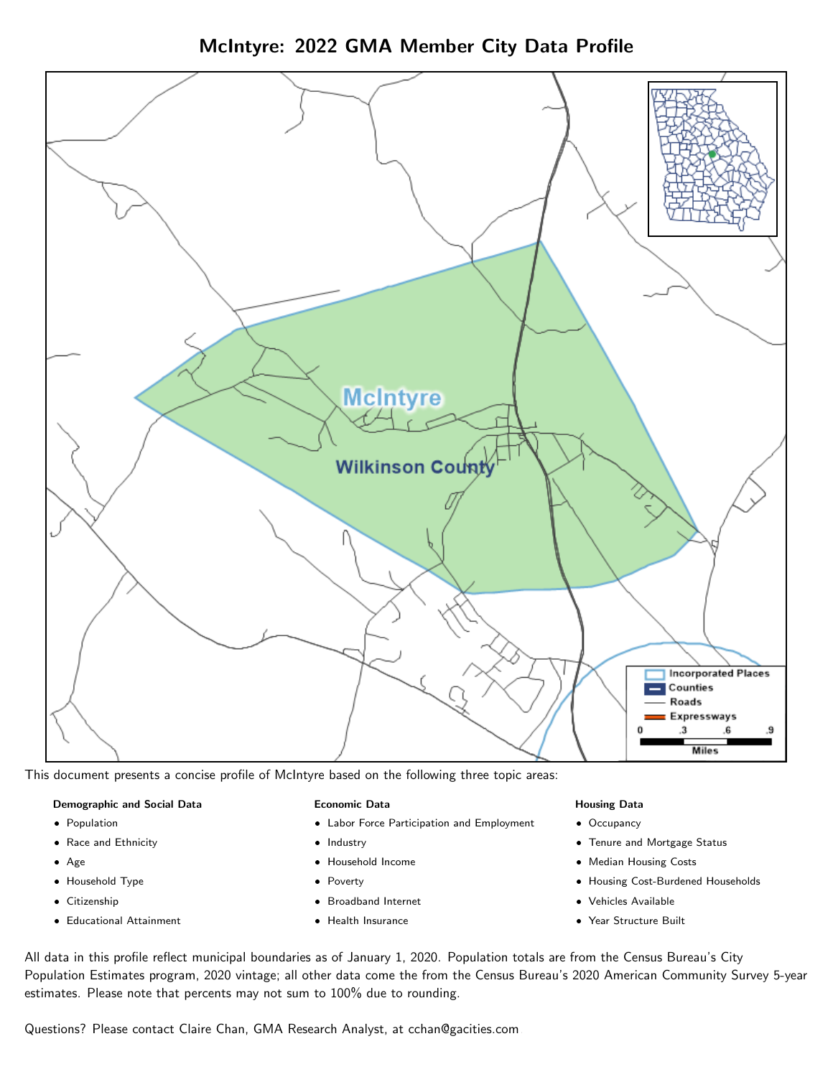McIntyre: 2022 GMA Member City Data Profile



This document presents a concise profile of McIntyre based on the following three topic areas:

#### Demographic and Social Data

- **•** Population
- Race and Ethnicity
- Age
- Household Type
- **Citizenship**
- Educational Attainment

#### Economic Data

- Labor Force Participation and Employment
- Industry
- Household Income
- Poverty
- Broadband Internet
- Health Insurance

#### Housing Data

- Occupancy
- Tenure and Mortgage Status
- Median Housing Costs
- Housing Cost-Burdened Households
- Vehicles Available
- $\bullet$ Year Structure Built

All data in this profile reflect municipal boundaries as of January 1, 2020. Population totals are from the Census Bureau's City Population Estimates program, 2020 vintage; all other data come the from the Census Bureau's 2020 American Community Survey 5-year estimates. Please note that percents may not sum to 100% due to rounding.

Questions? Please contact Claire Chan, GMA Research Analyst, at [cchan@gacities.com.](mailto:cchan@gacities.com)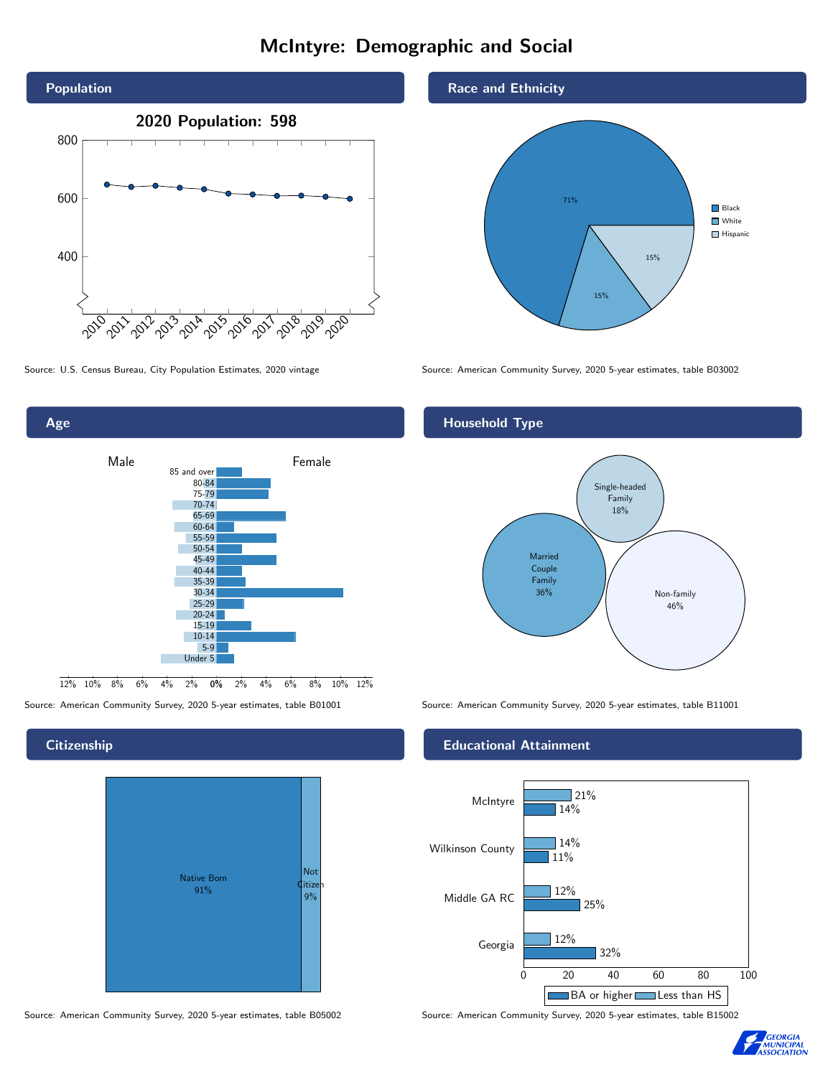# McIntyre: Demographic and Social





Source: American Community Survey, 2020 5-year estimates, table B01001 Source: American Community Survey, 2020 5-year estimates, table B11001

## **Citizenship**

| <b>Native Born</b><br>91% | <b>Not</b><br><b><i><u>Citizen</u></i></b><br>$9\%$ |
|---------------------------|-----------------------------------------------------|
|---------------------------|-----------------------------------------------------|

Source: American Community Survey, 2020 5-year estimates, table B05002 Source: American Community Survey, 2020 5-year estimates, table B15002

#### Race and Ethnicity



Source: U.S. Census Bureau, City Population Estimates, 2020 vintage Source: American Community Survey, 2020 5-year estimates, table B03002

## Household Type



#### Educational Attainment



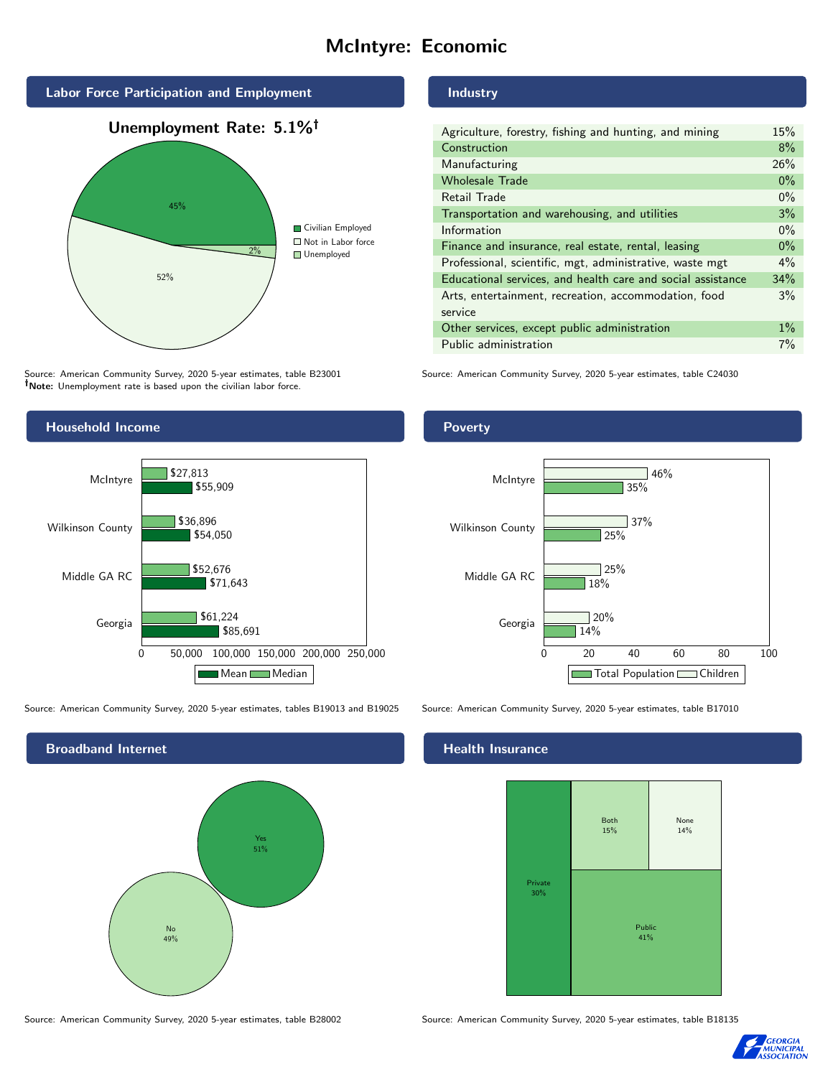# McIntyre: Economic



Source: American Community Survey, 2020 5-year estimates, table B23001 Note: Unemployment rate is based upon the civilian labor force.

### Industry

| Agriculture, forestry, fishing and hunting, and mining      | 15%   |
|-------------------------------------------------------------|-------|
| Construction                                                | 8%    |
| Manufacturing                                               | 26%   |
| <b>Wholesale Trade</b>                                      | $0\%$ |
| Retail Trade                                                | $0\%$ |
| Transportation and warehousing, and utilities               | 3%    |
| Information                                                 | $0\%$ |
| Finance and insurance, real estate, rental, leasing         | $0\%$ |
| Professional, scientific, mgt, administrative, waste mgt    | $4\%$ |
| Educational services, and health care and social assistance | 34%   |
| Arts, entertainment, recreation, accommodation, food        | 3%    |
| service                                                     |       |
| Other services, except public administration                | $1\%$ |
| Public administration                                       | 7%    |
|                                                             |       |

Source: American Community Survey, 2020 5-year estimates, table C24030



Source: American Community Survey, 2020 5-year estimates, tables B19013 and B19025 Source: American Community Survey, 2020 5-year estimates, table B17010

Broadband Internet No 49% Yes 51% **Poverty** 



#### Health Insurance



Source: American Community Survey, 2020 5-year estimates, table B28002 Source: American Community Survey, 2020 5-year estimates, table B18135